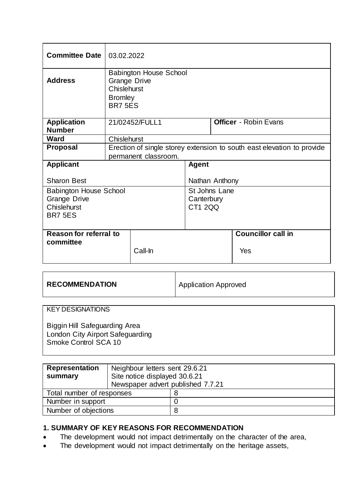| <b>Committee Date</b>               | 03.02.2022                                                                                              |                |                |  |                              |  |
|-------------------------------------|---------------------------------------------------------------------------------------------------------|----------------|----------------|--|------------------------------|--|
| <b>Address</b>                      | <b>Babington House School</b><br><b>Grange Drive</b><br>Chislehurst<br><b>Bromley</b><br><b>BR7 5ES</b> |                |                |  |                              |  |
| <b>Application</b><br><b>Number</b> |                                                                                                         | 21/02452/FULL1 |                |  | <b>Officer</b> - Robin Evans |  |
| <b>Ward</b>                         | Chislehurst                                                                                             |                |                |  |                              |  |
| <b>Proposal</b>                     | Erection of single storey extension to south east elevation to provide<br>permanent classroom.          |                |                |  |                              |  |
| <b>Applicant</b>                    |                                                                                                         | <b>Agent</b>   |                |  |                              |  |
|                                     |                                                                                                         |                |                |  |                              |  |
| <b>Sharon Best</b>                  |                                                                                                         |                | Nathan Anthony |  |                              |  |
| <b>Babington House School</b>       |                                                                                                         |                | St Johns Lane  |  |                              |  |
| <b>Grange Drive</b>                 |                                                                                                         |                | Canterbury     |  |                              |  |
| Chislehurst                         |                                                                                                         |                | <b>CT1 2QQ</b> |  |                              |  |
| <b>BR7 5ES</b>                      |                                                                                                         |                |                |  |                              |  |
|                                     |                                                                                                         |                |                |  |                              |  |
| Reason for referral to              |                                                                                                         |                |                |  | <b>Councillor call in</b>    |  |
| committee                           |                                                                                                         | Call-In        |                |  | Yes                          |  |

| <b>RECOMMENDATION</b> | Application Approved |
|-----------------------|----------------------|
|                       |                      |

### KEY DESIGNATIONS

Biggin Hill Safeguarding Area London City Airport Safeguarding Smoke Control SCA 10

| <b>Representation</b><br>summary | Neighbour letters sent 29.6.21<br>Site notice displayed 30.6.21<br>Newspaper advert published 7.7.21 |   |  |
|----------------------------------|------------------------------------------------------------------------------------------------------|---|--|
| Total number of responses        |                                                                                                      |   |  |
| Number in support                |                                                                                                      |   |  |
| Number of objections             |                                                                                                      | 8 |  |

### **1. SUMMARY OF KEY REASONS FOR RECOMMENDATION**

- The development would not impact detrimentally on the character of the area,
- The development would not impact detrimentally on the heritage assets,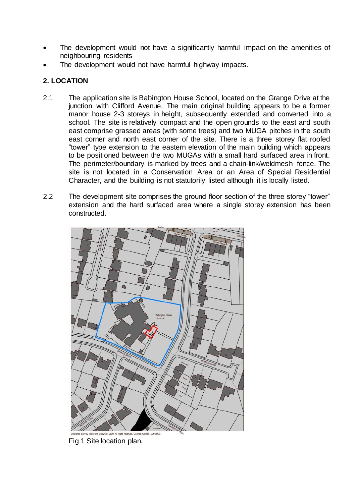- The development would not have a significantly harmful impact on the amenities of neighbouring residents
- The development would not have harmful highway impacts.

# **2. LOCATION**

- 2.1 The application site is Babington House School, located on the Grange Drive at the junction with Clifford Avenue. The main original building appears to be a former manor house 2-3 storeys in height, subsequently extended and converted into a school. The site is relatively compact and the open grounds to the east and south east comprise grassed areas (with some trees) and two MUGA pitches in the south east corner and north east corner of the site. There is a three storey flat roofed "tower" type extension to the eastern elevation of the main building which appears to be positioned between the two MUGAs with a small hard surfaced area in front. The perimeter/boundary is marked by trees and a chain-link/weldmesh fence. The site is not located in a Conservation Area or an Area of Special Residential Character, and the building is not statutorily listed although it is locally listed.
- 2.2 The development site comprises the ground floor section of the three storey "tower" extension and the hard surfaced area where a single storey extension has been constructed.



Fig 1 Site location plan.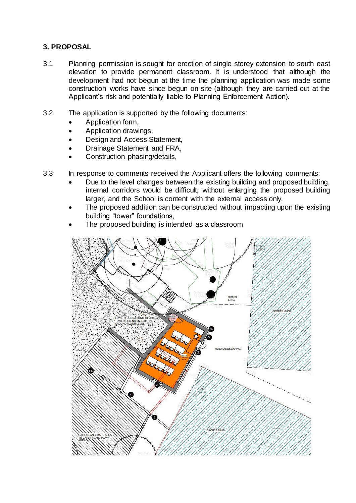# **3. PROPOSAL**

- 3.1 Planning permission is sought for erection of single storey extension to south east elevation to provide permanent classroom. It is understood that although the development had not begun at the time the planning application was made some construction works have since begun on site (although they are carried out at the Applicant's risk and potentially liable to Planning Enforcement Action).
- 3.2 The application is supported by the following documents:
	- Application form,
	- Application drawings,
	- Design and Access Statement,
	- Drainage Statement and FRA,
	- Construction phasing/details,
- 3.3 In response to comments received the Applicant offers the following comments:
	- Due to the level changes between the existing building and proposed building, internal corridors would be difficult, without enlarging the proposed building larger, and the School is content with the external access only,
	- The proposed addition can be constructed without impacting upon the existing building "tower" foundations,
	- The proposed building is intended as a classroom

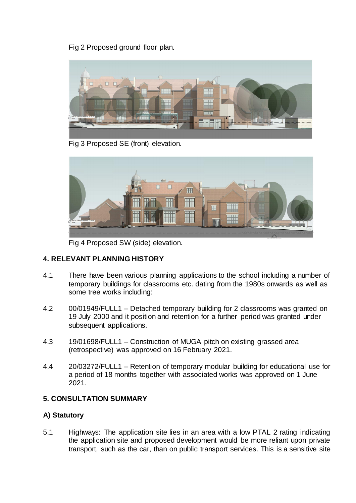Fig 2 Proposed ground floor plan.



Fig 3 Proposed SE (front) elevation.



Fig 4 Proposed SW (side) elevation.

# **4. RELEVANT PLANNING HISTORY**

- 4.1 There have been various planning applications to the school including a number of temporary buildings for classrooms etc. dating from the 1980s onwards as well as some tree works including:
- 4.2 00/01949/FULL1 Detached temporary building for 2 classrooms was granted on 19 July 2000 and it position and retention for a further period was granted under subsequent applications.
- 4.3 19/01698/FULL1 Construction of MUGA pitch on existing grassed area (retrospective) was approved on 16 February 2021.
- 4.4 20/03272/FULL1 Retention of temporary modular building for educational use for a period of 18 months together with associated works was approved on 1 June 2021.

# **5. CONSULTATION SUMMARY**

# **A) Statutory**

5.1 Highways: The application site lies in an area with a low PTAL 2 rating indicating the application site and proposed development would be more reliant upon private transport, such as the car, than on public transport services. This is a sensitive site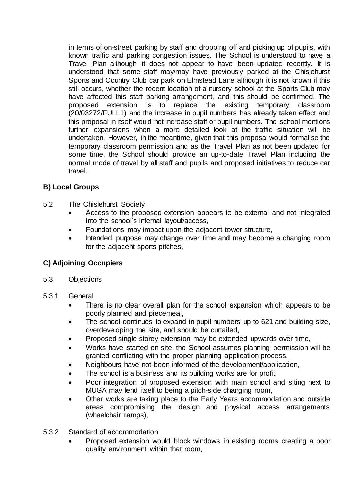in terms of on-street parking by staff and dropping off and picking up of pupils, with known traffic and parking congestion issues. The School is understood to have a Travel Plan although it does not appear to have been updated recently. It is understood that some staff may/may have previously parked at the Chislehurst Sports and Country Club car park on Elmstead Lane although it is not known if this still occurs, whether the recent location of a nursery school at the Sports Club may have affected this staff parking arrangement, and this should be confirmed. The proposed extension is to replace the existing temporary classroom (20/03272/FULL1) and the increase in pupil numbers has already taken effect and this proposal in itself would not increase staff or pupil numbers. The school mentions further expansions when a more detailed look at the traffic situation will be undertaken. However, in the meantime, given that this proposal would formalise the temporary classroom permission and as the Travel Plan as not been updated for some time, the School should provide an up-to-date Travel Plan including the normal mode of travel by all staff and pupils and proposed initiatives to reduce car travel.

# **B) Local Groups**

- 5.2 The Chislehurst Society
	- Access to the proposed extension appears to be external and not integrated into the school's internal layout/access,
	- Foundations may impact upon the adjacent tower structure,
	- Intended purpose may change over time and may become a changing room for the adjacent sports pitches,

# **C) Adjoining Occupiers**

- 5.3 Objections
- 5.3.1 General
	- There is no clear overall plan for the school expansion which appears to be poorly planned and piecemeal,
	- The school continues to expand in pupil numbers up to 621 and building size, overdeveloping the site, and should be curtailed,
	- Proposed single storey extension may be extended upwards over time,
	- Works have started on site, the School assumes planning permission will be granted conflicting with the proper planning application process,
	- Neighbours have not been informed of the development/application,
	- The school is a business and its building works are for profit,
	- Poor integration of proposed extension with main school and siting next to MUGA may lend itself to being a pitch-side changing room,
	- Other works are taking place to the Early Years accommodation and outside areas compromising the design and physical access arrangements (wheelchair ramps),
- 5.3.2 Standard of accommodation
	- Proposed extension would block windows in existing rooms creating a poor quality environment within that room,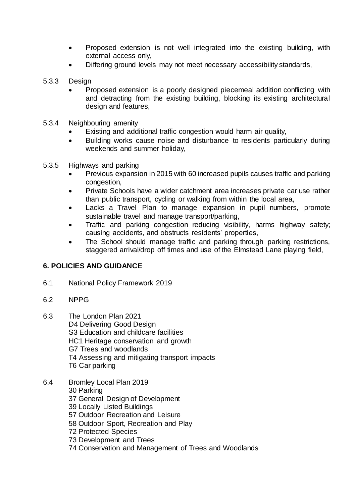- Proposed extension is not well integrated into the existing building, with external access only,
- Differing ground levels may not meet necessary accessibility standards,
- 5.3.3 Design
	- Proposed extension is a poorly designed piecemeal addition conflicting with and detracting from the existing building, blocking its existing architectural design and features,
- 5.3.4 Neighbouring amenity
	- Existing and additional traffic congestion would harm air quality,
	- Building works cause noise and disturbance to residents particularly during weekends and summer holiday,
- 5.3.5 Highways and parking
	- Previous expansion in 2015 with 60 increased pupils causes traffic and parking congestion,
	- Private Schools have a wider catchment area increases private car use rather than public transport, cycling or walking from within the local area,
	- Lacks a Travel Plan to manage expansion in pupil numbers, promote sustainable travel and manage transport/parking,
	- Traffic and parking congestion reducing visibility, harms highway safety; causing accidents, and obstructs residents' properties,
	- The School should manage traffic and parking through parking restrictions, staggered arrival/drop off times and use of the Elmstead Lane playing field,

# **6. POLICIES AND GUIDANCE**

- 6.1 National Policy Framework 2019
- 6.2 NPPG
- 6.3 The London Plan 2021
	- D4 Delivering Good Design
	- S3 Education and childcare facilities
	- HC1 Heritage conservation and growth
	- G7 Trees and woodlands
	- T4 Assessing and mitigating transport impacts
	- T6 Car parking
- 6.4 Bromley Local Plan 2019
	- 30 Parking
	- 37 General Design of Development
	- 39 Locally Listed Buildings
	- 57 Outdoor Recreation and Leisure
	- 58 Outdoor Sport, Recreation and Play
	- 72 Protected Species
	- 73 Development and Trees
	- 74 Conservation and Management of Trees and Woodlands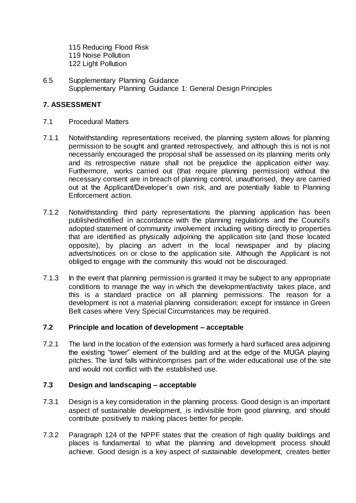115 Reducing Flood Risk 119 Noise Pollution 122 Light Pollution

6.5 Supplementary Planning Guidance Supplementary Planning Guidance 1: General Design Principles

### **7. ASSESSMENT**

- 7.1 Procedural Matters
- 7.1.1 Notwithstanding representations received, the planning system allows for planning permission to be sought and granted retrospectively, and although this is not is not necessarily encouraged the proposal shall be assessed on its planning merits only and its retrospective nature shall not be prejudice the application either way. Furthermore, works carried out (that require planning permission) without the necessary consent are in breach of planning control, unauthorised, they are carried out at the Applicant/Developer's own risk, and are potentially liable to Planning Enforcement action.
- 7.1.2 Notwithstanding third party representations the planning application has been published/notified in accordance with the planning regulations and the Council's adopted statement of community involvement including writing directly to properties that are identified as physically adjoining the application site (and those located opposite), by placing an advert in the local newspaper and by placing adverts/notices on or close to the application site. Although the Applicant is not obliged to engage with the community this would not be discouraged.
- 7.1.3 In the event that planning permission is granted it may be subject to any appropriate conditions to manage the way in which the development/activity takes place, and this is a standard practice on all planning permissions. The reason for a development is not a material planning consideration; except for instance in Green Belt cases where Very Special Circumstances may be required.

### **7.2 Principle and location of development – acceptable**

7.2.1 The land in the location of the extension was formerly a hard surfaced area adjoining the existing "tower" element of the building and at the edge of the MUGA playing pitches. The land falls within/comprises part of the wider educational use of the site and would not conflict with the established use.

### **7.3 Design and landscaping – acceptable**

- 7.3.1 Design is a key consideration in the planning process. Good design is an important aspect of sustainable development, is indivisible from good planning, and should contribute positively to making places better for people.
- 7.3.2 Paragraph 124 of the NPPF states that the creation of high quality buildings and places is fundamental to what the planning and development process should achieve. Good design is a key aspect of sustainable development, creates better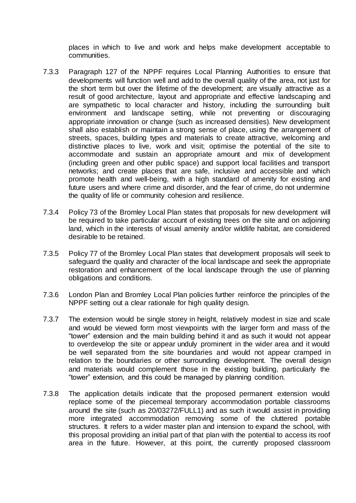places in which to live and work and helps make development acceptable to communities.

- 7.3.3 Paragraph 127 of the NPPF requires Local Planning Authorities to ensure that developments will function well and add to the overall quality of the area, not just for the short term but over the lifetime of the development; are visually attractive as a result of good architecture, layout and appropriate and effective landscaping and are sympathetic to local character and history, including the surrounding built environment and landscape setting, while not preventing or discouraging appropriate innovation or change (such as increased densities). New development shall also establish or maintain a strong sense of place, using the arrangement of streets, spaces, building types and materials to create attractive, welcoming and distinctive places to live, work and visit; optimise the potential of the site to accommodate and sustain an appropriate amount and mix of development (including green and other public space) and support local facilities and transport networks; and create places that are safe, inclusive and accessible and which promote health and well-being, with a high standard of amenity for existing and future users and where crime and disorder, and the fear of crime, do not undermine the quality of life or community cohesion and resilience.
- 7.3.4 Policy 73 of the Bromley Local Plan states that proposals for new development will be required to take particular account of existing trees on the site and on adjoining land, which in the interests of visual amenity and/or wildlife habitat, are considered desirable to be retained.
- 7.3.5 Policy 77 of the Bromley Local Plan states that development proposals will seek to safeguard the quality and character of the local landscape and seek the appropriate restoration and enhancement of the local landscape through the use of planning obligations and conditions.
- 7.3.6 London Plan and Bromley Local Plan policies further reinforce the principles of the NPPF setting out a clear rationale for high quality design.
- 7.3.7 The extension would be single storey in height, relatively modest in size and scale and would be viewed form most viewpoints with the larger form and mass of the "tower" extension and the main building behind it and as such it would not appear to overdevelop the site or appear unduly prominent in the wider area and it would be well separated from the site boundaries and would not appear cramped in relation to the boundaries or other surrounding development. The overall design and materials would complement those in the existing building, particularly the "tower" extension, and this could be managed by planning condition.
- 7.3.8 The application details indicate that the proposed permanent extension would replace some of the piecemeal temporary accommodation portable classrooms around the site (such as 20/03272/FULL1) and as such it would assist in providing more integrated accommodation removing some of the cluttered portable structures. It refers to a wider master plan and intension to expand the school, with this proposal providing an initial part of that plan with the potential to access its roof area in the future. However, at this point, the currently proposed classroom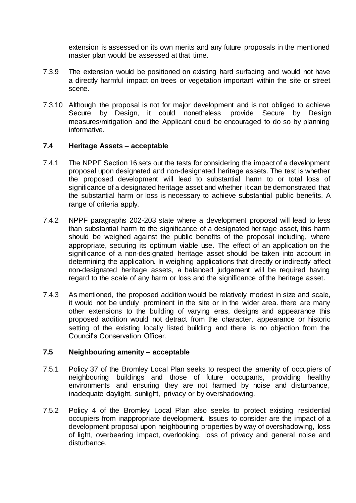extension is assessed on its own merits and any future proposals in the mentioned master plan would be assessed at that time.

- 7.3.9 The extension would be positioned on existing hard surfacing and would not have a directly harmful impact on trees or vegetation important within the site or street scene.
- 7.3.10 Although the proposal is not for major development and is not obliged to achieve Secure by Design, it could nonetheless provide Secure by Design measures/mitigation and the Applicant could be encouraged to do so by planning informative.

#### **7.4 Heritage Assets – acceptable**

- 7.4.1 The NPPF Section 16 sets out the tests for considering the impact of a development proposal upon designated and non-designated heritage assets. The test is whether the proposed development will lead to substantial harm to or total loss of significance of a designated heritage asset and whether it can be demonstrated that the substantial harm or loss is necessary to achieve substantial public benefits. A range of criteria apply.
- 7.4.2 NPPF paragraphs 202-203 state where a development proposal will lead to less than substantial harm to the significance of a designated heritage asset, this harm should be weighed against the public benefits of the proposal including, where appropriate, securing its optimum viable use. The effect of an application on the significance of a non-designated heritage asset should be taken into account in determining the application. In weighing applications that directly or indirectly affect non-designated heritage assets, a balanced judgement will be required having regard to the scale of any harm or loss and the significance of the heritage asset.
- 7.4.3 As mentioned, the proposed addition would be relatively modest in size and scale, it would not be unduly prominent in the site or in the wider area. there are many other extensions to the building of varying eras, designs and appearance this proposed addition would not detract from the character, appearance or historic setting of the existing locally listed building and there is no objection from the Council's Conservation Officer.

### **7.5 Neighbouring amenity – acceptable**

- 7.5.1 Policy 37 of the Bromley Local Plan seeks to respect the amenity of occupiers of neighbouring buildings and those of future occupants, providing healthy environments and ensuring they are not harmed by noise and disturbance, inadequate daylight, sunlight, privacy or by overshadowing.
- 7.5.2 Policy 4 of the Bromley Local Plan also seeks to protect existing residential occupiers from inappropriate development. Issues to consider are the impact of a development proposal upon neighbouring properties by way of overshadowing, loss of light, overbearing impact, overlooking, loss of privacy and general noise and disturbance.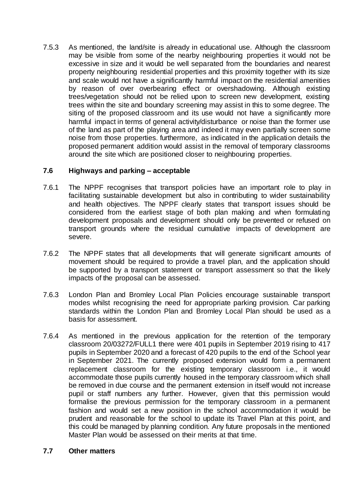7.5.3 As mentioned, the land/site is already in educational use. Although the classroom may be visible from some of the nearby neighbouring properties it would not be excessive in size and it would be well separated from the boundaries and nearest property neighbouring residential properties and this proximity together with its size and scale would not have a significantly harmful impact on the residential amenities by reason of over overbearing effect or overshadowing. Although existing trees/vegetation should not be relied upon to screen new development, existing trees within the site and boundary screening may assist in this to some degree. The siting of the proposed classroom and its use would not have a significantly more harmful impact in terms of general activity/disturbance or noise than the former use of the land as part of the playing area and indeed it may even partially screen some noise from those properties. furthermore, as indicated in the application details the proposed permanent addition would assist in the removal of temporary classrooms around the site which are positioned closer to neighbouring properties.

### **7.6 Highways and parking – acceptable**

- 7.6.1 The NPPF recognises that transport policies have an important role to play in facilitating sustainable development but also in contributing to wider sustainability and health objectives. The NPPF clearly states that transport issues should be considered from the earliest stage of both plan making and when formulating development proposals and development should only be prevented or refused on transport grounds where the residual cumulative impacts of development are severe.
- 7.6.2 The NPPF states that all developments that will generate significant amounts of movement should be required to provide a travel plan, and the application should be supported by a transport statement or transport assessment so that the likely impacts of the proposal can be assessed.
- 7.6.3 London Plan and Bromley Local Plan Policies encourage sustainable transport modes whilst recognising the need for appropriate parking provision. Car parking standards within the London Plan and Bromley Local Plan should be used as a basis for assessment.
- 7.6.4 As mentioned in the previous application for the retention of the temporary classroom 20/03272/FULL1 there were 401 pupils in September 2019 rising to 417 pupils in September 2020 and a forecast of 420 pupils to the end of the School year in September 2021. The currently proposed extension would form a permanent replacement classroom for the existing temporary classroom i.e., it would accommodate those pupils currently housed in the temporary classroom which shall be removed in due course and the permanent extension in itself would not increase pupil or staff numbers any further. However, given that this permission would formalise the previous permission for the temporary classroom in a permanent fashion and would set a new position in the school accommodation it would be prudent and reasonable for the school to update its Travel Plan at this point, and this could be managed by planning condition. Any future proposals in the mentioned Master Plan would be assessed on their merits at that time.

### **7.7 Other matters**